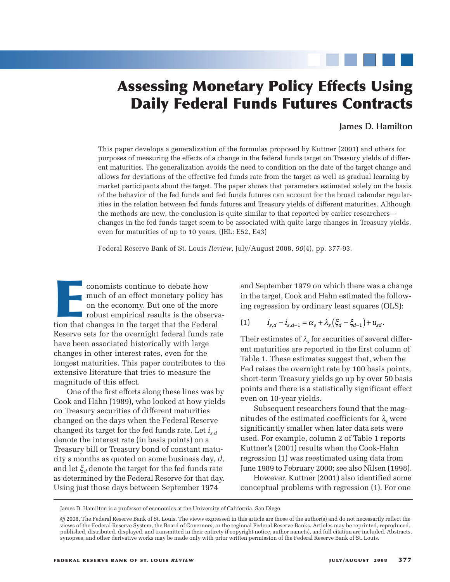# **Assessing Monetary Policy Effects Using Daily Federal Funds Futures Contracts**

# **James D. Hamilton**

This paper develops a generalization of the formulas proposed by Kuttner (2001) and others for purposes of measuring the effects of a change in the federal funds target on Treasury yields of different maturities. The generalization avoids the need to condition on the date of the target change and allows for deviations of the effective fed funds rate from the target as well as gradual learning by market participants about the target. The paper shows that parameters estimated solely on the basis of the behavior of the fed funds and fed funds futures can account for the broad calendar regularities in the relation between fed funds futures and Treasury yields of different maturities. Although the methods are new, the conclusion is quite similar to that reported by earlier researchers changes in the fed funds target seem to be associated with quite large changes in Treasury yields, even for maturities of up to 10 years. (JEL: E52, E43)

Federal Reserve Bank of St. Louis *Review*, July/August 2008, *90*(4), pp. 377-93.

conomists continue to debate how and September 1979 on which there was a<br>much of an effect monetary policy has in the target, Cook and Hahn estimated the<br>on the economy. But one of the more<br>robust empirical results is the conomists continue to debate how much of an effect monetary policy has on the economy. But one of the more robust empirical results is the observation that changes in the target that the Federal Reserve sets for the overnight federal funds rate have been associated historically with large changes in other interest rates, even for the longest maturities. This paper contributes to the extensive literature that tries to measure the magnitude of this effect.

One of the first efforts along these lines was by Cook and Hahn (1989), who looked at how yields on Treasury securities of different maturities changed on the days when the Federal Reserve changed its target for the fed funds rate. Let *is*,*<sup>d</sup>* denote the interest rate (in basis points) on a Treasury bill or Treasury bond of constant maturity s months as quoted on some business day, *d*, and let ξ*<sup>d</sup>* denote the target for the fed funds rate as determined by the Federal Reserve for that day. Using just those days between September 1974

and September 1979 on which there was a change in the target, Cook and Hahn estimated the following regression by ordinary least squares (OLS):

(1) 
$$
i_{s,d} - i_{s,d-1} = \alpha_s + \lambda_s \left( \xi_d - \xi_{d-1} \right) + u_{sd}.
$$

Their estimates of  $\lambda_s$  for securities of several different maturities are reported in the first column of Table 1. These estimates suggest that, when the Fed raises the overnight rate by 100 basis points, short-term Treasury yields go up by over 50 basis points and there is a statistically significant effect even on 10-year yields.

Subsequent researchers found that the magnitudes of the estimated coefficients for  $\lambda_s$  were significantly smaller when later data sets were used. For example, column 2 of Table 1 reports Kuttner's (2001) results when the Cook-Hahn regression (1) was reestimated using data from June 1989 to February 2000; see also Nilsen (1998).

However, Kuttner (2001) also identified some conceptual problems with regression (1). For one

James D. Hamilton is a professor of economics at the University of California, San Diego.

<sup>©</sup> 2008, The Federal Reserve Bank of St. Louis. The views expressed in this article are those of the author(s) and do not necessarily reflect the views of the Federal Reserve System, the Board of Governors, or the regional Federal Reserve Banks. Articles may be reprinted, reproduced, published, distributed, displayed, and transmitted in their entirety if copyright notice, author name(s), and full citation are included. Abstracts, synopses, and other derivative works may be made only with prior written permission of the Federal Reserve Bank of St. Louis.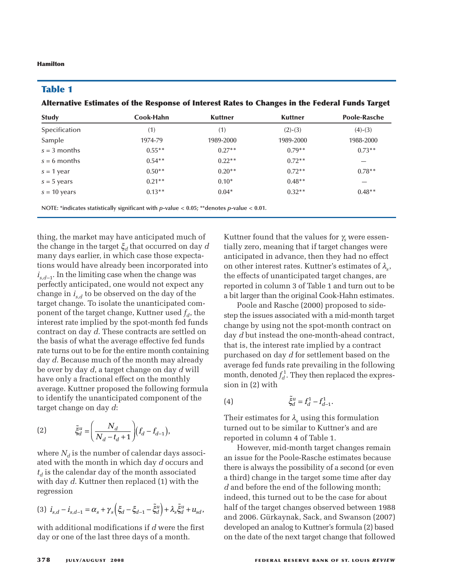# **Table 1**

**Alternative Estimates of the Response of Interest Rates to Changes in the Federal Funds Target**

| <b>Study</b>   | Cook-Hahn | <b>Kuttner</b> | <b>Kuttner</b> | <b>Poole-Rasche</b> |
|----------------|-----------|----------------|----------------|---------------------|
| Specification  | (1)       | (1)            | $(2)-(3)$      | $(4)-(3)$           |
| Sample         | 1974-79   | 1989-2000      | 1989-2000      | 1988-2000           |
| $s = 3$ months | $0.55***$ | $0.27**$       | $0.79**$       | $0.73**$            |
| $s = 6$ months | $0.54**$  | $0.22**$       | $0.72**$       |                     |
| $s = 1$ year   | $0.50**$  | $0.20**$       | $0.72**$       | $0.78**$            |
| $s = 5$ years  | $0.21**$  | $0.10*$        | $0.48**$       |                     |
| $s = 10$ years | $0.13**$  | $0.04*$        | $0.32**$       | $0.48**$            |
|                |           |                |                |                     |

**NOTE: \*indicates statistically significant with** *p***-value < 0.05; \*\*denotes** *p***-value < 0.01.**

thing, the market may have anticipated much of the change in the target ξ*<sup>d</sup>* that occurred on day *d* many days earlier, in which case those expectations would have already been incorporated into  $i_{s,d-1}$ . In the limiting case when the change was perfectly anticipated, one would not expect any change in *is*,*<sup>d</sup>* to be observed on the day of the target change. To isolate the unanticipated component of the target change, Kuttner used  $f_d$ , the interest rate implied by the spot-month fed funds contract on day *d*. These contracts are settled on the basis of what the average effective fed funds rate turns out to be for the entire month containing day *d*. Because much of the month may already be over by day *d*, a target change on day *d* will have only a fractional effect on the monthly average. Kuttner proposed the following formula to identify the unanticipated component of the target change on day *d*:

(2) 
$$
\tilde{\xi}_{d}^{u} = \left(\frac{N_{d}}{N_{d} - t_{d} + 1}\right) (f_{d} - f_{d-1}),
$$

where  $N_d$  is the number of calendar days associated with the month in which day *d* occurs and  $t_d$  is the calendar day of the month associated with day *d*. Kuttner then replaced (1) with the regression

$$
(3) \ \ \dot{I}_{s,d} - \dot{I}_{s,d-1} = \alpha_s + \gamma_s \left( \xi_d - \xi_{d-1} - \tilde{\xi}_d^u \right) + \lambda_s \tilde{\xi}_d^u + u_{sd},
$$

with additional modifications if *d* were the first day or one of the last three days of a month.

Kuttner found that the values for <sup>γ</sup>*<sup>s</sup>* were essentially zero, meaning that if target changes were anticipated in advance, then they had no effect on other interest rates. Kuttner's estimates of  $\lambda_{s}$ , the effects of unanticipated target changes, are reported in column 3 of Table 1 and turn out to be a bit larger than the original Cook-Hahn estimates.

Poole and Rasche (2000) proposed to sidestep the issues associated with a mid-month target change by using not the spot-month contract on day *d* but instead the one-month-ahead contract, that is, the interest rate implied by a contract purchased on day *d* for settlement based on the average fed funds rate prevailing in the following month, denoted  $f_d^1$ . They then replaced the expression in (2) with

(4) 
$$
\tilde{\xi}_d^u = f_d^1 - f_{d-1}^1.
$$

Their estimates for  $\lambda_s$  using this formulation turned out to be similar to Kuttner's and are reported in column 4 of Table 1.

However, mid-month target changes remain an issue for the Poole-Rasche estimates because there is always the possibility of a second (or even a third) change in the target some time after day *d* and before the end of the following month; indeed, this turned out to be the case for about half of the target changes observed between 1988 and 2006. Gürkaynak, Sack, and Swanson (2007) developed an analog to Kuttner's formula (2) based on the date of the next target change that followed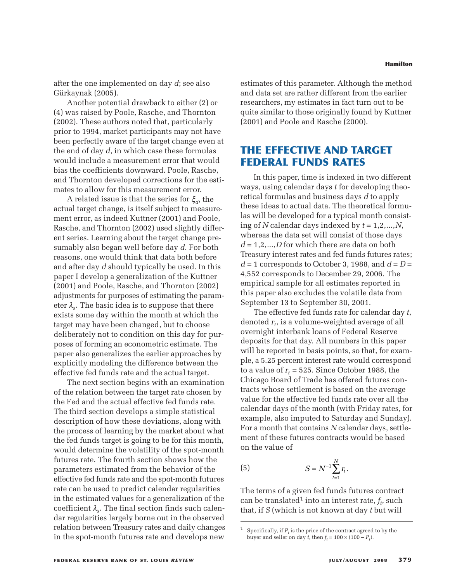after the one implemented on day *d*; see also Gürkaynak (2005).

Another potential drawback to either (2) or (4) was raised by Poole, Rasche, and Thornton (2002). These authors noted that, particularly prior to 1994, market participants may not have been perfectly aware of the target change even at the end of day *d*, in which case these formulas would include a measurement error that would bias the coefficients downward. Poole, Rasche, and Thornton developed corrections for the estimates to allow for this measurement error.

A related issue is that the series for ξ*d*, the actual target change, is itself subject to measurement error, as indeed Kuttner (2001) and Poole, Rasche, and Thornton (2002) used slightly different series. Learning about the target change presumably also began well before day *d*. For both reasons, one would think that data both before and after day *d* should typically be used. In this paper I develop a generalization of the Kuttner (2001) and Poole, Rasche, and Thornton (2002) adjustments for purposes of estimating the parameter  $\lambda_{\rm s}$ . The basic idea is to suppose that there exists some day within the month at which the target may have been changed, but to choose deliberately not to condition on this day for purposes of forming an econometric estimate. The paper also generalizes the earlier approaches by explicitly modeling the difference between the effective fed funds rate and the actual target.

The next section begins with an examination of the relation between the target rate chosen by the Fed and the actual effective fed funds rate. The third section develops a simple statistical description of how these deviations, along with the process of learning by the market about what the fed funds target is going to be for this month, would determine the volatility of the spot-month futures rate. The fourth section shows how the parameters estimated from the behavior of the effective fed funds rate and the spot-month futures rate can be used to predict calendar regularities in the estimated values for a generalization of the coefficient  $\lambda_{s}$ . The final section finds such calendar regularities largely borne out in the observed relation between Treasury rates and daily changes in the spot-month futures rate and develops new

estimates of this parameter. Although the method and data set are rather different from the earlier researchers, my estimates in fact turn out to be quite similar to those originally found by Kuttner (2001) and Poole and Rasche (2000).

# **THE EFFECTIVE AND TARGET FEDERAL FUNDS RATES**

In this paper, time is indexed in two different ways, using calendar days *t* for developing theoretical formulas and business days *d* to apply these ideas to actual data. The theoretical formulas will be developed for a typical month consisting of *N* calendar days indexed by *t* = 1,2,...,*N*, whereas the data set will consist of those days *d* = 1,2,...,*D* for which there are data on both Treasury interest rates and fed funds futures rates;  $d = 1$  corresponds to October 3, 1988, and  $d = D =$ 4,552 corresponds to December 29, 2006. The empirical sample for all estimates reported in this paper also excludes the volatile data from September 13 to September 30, 2001.

The effective fed funds rate for calendar day *t*, denoted  $r_t$ , is a volume-weighted average of all overnight interbank loans of Federal Reserve deposits for that day. All numbers in this paper will be reported in basis points, so that, for example, a 5.25 percent interest rate would correspond to a value of  $r_t = 525$ . Since October 1988, the Chicago Board of Trade has offered futures contracts whose settlement is based on the average value for the effective fed funds rate over all the calendar days of the month (with Friday rates, for example, also imputed to Saturday and Sunday). For a month that contains *N* calendar days, settlement of these futures contracts would be based on the value of

(5) 
$$
S = N^{-1} \sum_{t=1}^{N} r_t.
$$

The terms of a given fed funds futures contract can be translated<sup>1</sup> into an interest rate,  $f_t$ , such that, if *S* (which is not known at day *t* but will

<sup>&</sup>lt;sup>1</sup> Specifically, if  $P_t$  is the price of the contract agreed to by the buyer and seller on day *t*, then  $f_t = 100 \times (100 - P_t)$ .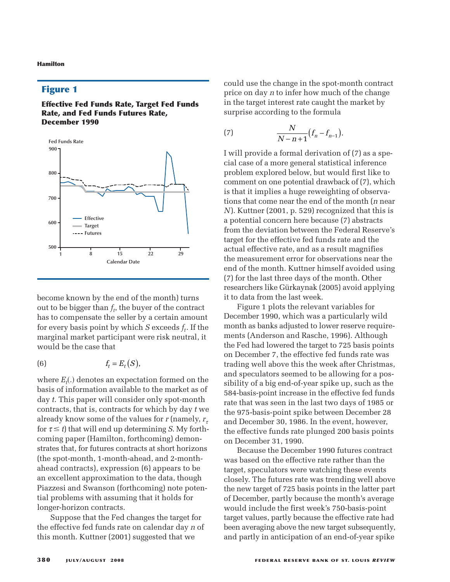# **Figure 1**

**Effective Fed Funds Rate, Target Fed Funds Rate, and Fed Funds Futures Rate, December 1990**



become known by the end of the month) turns out to be bigger than  $f_t$ , the buyer of the contract has to compensate the seller by a certain amount for every basis point by which  $S$  exceeds  $f_t$ . If the marginal market participant were risk neutral, it would be the case that

$$
(6) \t\t\t f_t = E_t(S),
$$

where  $E_t(.)$  denotes an expectation formed on the basis of information available to the market as of day *t*. This paper will consider only spot-month contracts, that is, contracts for which by day *t* we already know some of the values for  $r$  (namely,  $r<sub>r</sub>$ for  $\tau \leq t$ ) that will end up determining *S*. My forthcoming paper (Hamilton, forthcoming) demonstrates that, for futures contracts at short horizons (the spot-month, 1-month-ahead, and 2-monthahead contracts), expression (6) appears to be an excellent approximation to the data, though Piazzesi and Swanson (forthcoming) note potential problems with assuming that it holds for longer-horizon contracts.

Suppose that the Fed changes the target for the effective fed funds rate on calendar day *n* of this month. Kuttner (2001) suggested that we

could use the change in the spot-month contract price on day *n* to infer how much of the change in the target interest rate caught the market by surprise according to the formula

(7) 
$$
\frac{N}{N-n+1}(f_n - f_{n-1}).
$$

I will provide a formal derivation of (7) as a special case of a more general statistical inference problem explored below, but would first like to comment on one potential drawback of (7), which is that it implies a huge reweighting of observations that come near the end of the month (*n* near *N*). Kuttner (2001, p. 529) recognized that this is a potential concern here because (7) abstracts from the deviation between the Federal Reserve's target for the effective fed funds rate and the actual effective rate, and as a result magnifies the measurement error for observations near the end of the month. Kuttner himself avoided using (7) for the last three days of the month. Other researchers like Gürkaynak (2005) avoid applying it to data from the last week.

Figure 1 plots the relevant variables for December 1990, which was a particularly wild month as banks adjusted to lower reserve requirements (Anderson and Rasche, 1996). Although the Fed had lowered the target to 725 basis points on December 7, the effective fed funds rate was trading well above this the week after Christmas, and speculators seemed to be allowing for a possibility of a big end-of-year spike up, such as the 584-basis-point increase in the effective fed funds rate that was seen in the last two days of 1985 or the 975-basis-point spike between December 28 and December 30, 1986. In the event, however, the effective funds rate plunged 200 basis points on December 31, 1990.

Because the December 1990 futures contract was based on the effective rate rather than the target, speculators were watching these events closely. The futures rate was trending well above the new target of 725 basis points in the latter part of December, partly because the month's average would include the first week's 750-basis-point target values, partly because the effective rate had been averaging above the new target subsequently, and partly in anticipation of an end-of-year spike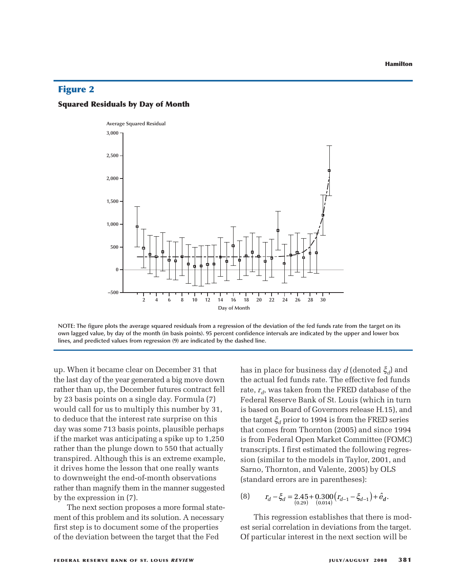# **Figure 2**

### **Squared Residuals by Day of Month**



**NOTE: The figure plots the average squared residuals from a regression of the deviation of the fed funds rate from the target on its own lagged value, by day of the month (in basis points). 95 percent confidence intervals are indicated by the upper and lower box lines, and predicted values from regression (9) are indicated by the dashed line.**

up. When it became clear on December 31 that the last day of the year generated a big move down rather than up, the December futures contract fell by 23 basis points on a single day. Formula (7) would call for us to multiply this number by 31, to deduce that the interest rate surprise on this day was some 713 basis points, plausible perhaps if the market was anticipating a spike up to 1,250 rather than the plunge down to 550 that actually transpired. Although this is an extreme example, it drives home the lesson that one really wants to downweight the end-of-month observations rather than magnify them in the manner suggested by the expression in (7).

The next section proposes a more formal statement of this problem and its solution. A necessary first step is to document some of the properties of the deviation between the target that the Fed

has in place for business day *d* (denoted ξ*d*) and the actual fed funds rate. The effective fed funds rate,  $r_d$ , was taken from the FRED database of the Federal Reserve Bank of St. Louis (which in turn is based on Board of Governors release H.15), and the target  $\xi_d$  prior to 1994 is from the FRED series that comes from Thornton (2005) and since 1994 is from Federal Open Market Committee (FOMC) transcripts. I first estimated the following regression (similar to the models in Taylor, 2001, and Sarno, Thornton, and Valente, 2005) by OLS (standard errors are in parentheses):

(8) 
$$
r_d - \xi_d = 2.45 + 0.300 (r_{d-1} - \xi_{d-1}) + \hat{e}_d.
$$

This regression establishes that there is modest serial correlation in deviations from the target. Of particular interest in the next section will be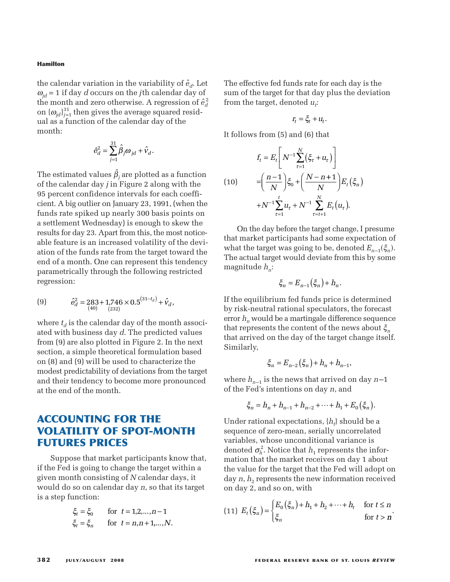the calendar variation in the variability of  $\hat{e}_{d}$ . Let  $\omega_{id}$  = 1 if day *d* occurs on the *j*th calendar day of the month and zero otherwise. A regression of  $\hat{e}_d^2$ on  $\{\omega_{id}\}_{i=1}^{31}$  then gives the average squared residual as a function of the calendar day of the month:

$$
\hat{e}_d^2 = \sum_{j=1}^{31} \hat{\beta}_j \omega_{jd} + \hat{v}_d.
$$

The estimated values  $\hat{\beta}_i$  are plotted as a function of the calendar day *j* in Figure 2 along with the 95 percent confidence intervals for each coefficient. A big outlier on January 23, 1991, (when the funds rate spiked up nearly 300 basis points on a settlement Wednesday) is enough to skew the results for day 23. Apart from this, the most noticeable feature is an increased volatility of the deviation of the funds rate from the target toward the end of a month. One can represent this tendency parametrically through the following restricted regression:

(9) 
$$
\hat{e}_d^2 = 283 + 1{,}746 \times 0.5^{(31-t_d)} + \hat{v}_d,
$$

$$
\hat{e}_d^2 = 283 + 1{,}746 \times 0.5^{(31-t_d)} + \hat{v}_d,
$$

where  $t_d$  is the calendar day of the month associated with business day *d*. The predicted values from (9) are also plotted in Figure 2. In the next section, a simple theoretical formulation based on (8) and (9) will be used to characterize the modest predictability of deviations from the target and their tendency to become more pronounced at the end of the month.

# **ACCOUNTING FOR THE VOLATILITY OF SPOT-MONTH FUTURES PRICES**

Suppose that market participants know that, if the Fed is going to change the target within a given month consisting of *N* calendar days, it would do so on calendar day *n*, so that its target is a step function:

$$
\xi_t = \xi_0
$$
 for  $t = 1, 2, ..., n-1$   
\n $\xi_t = \xi_n$  for  $t = n, n+1, ..., N$ .

The effective fed funds rate for each day is the sum of the target for that day plus the deviation from the target, denoted  $u_t$ :

$$
r_t = \xi_t + u_t.
$$

It follows from (5) and (6) that

$$
f_t = E_t \left[ N^{-1} \sum_{\tau=1}^N (\xi_{\tau} + u_{\tau}) \right]
$$
  
(10) 
$$
= \left( \frac{n-1}{N} \right) \xi_0 + \left( \frac{N-n+1}{N} \right) E_t (\xi_n)
$$

$$
+ N^{-1} \sum_{\tau=1}^t u_{\tau} + N^{-1} \sum_{\tau=t+1}^N E_t (u_{\tau}).
$$

On the day before the target change, I presume that market participants had some expectation of what the target was going to be, denoted  $E_{n-1}(\xi_n)$ . The actual target would deviate from this by some magnitude  $h_n$ :

$$
\xi_n = E_{n-1}(\xi_n) + h_n.
$$

If the equilibrium fed funds price is determined by risk-neutral rational speculators, the forecast error  $h_n$  would be a martingale difference sequence that represents the content of the news about ξ*<sup>n</sup>* that arrived on the day of the target change itself. Similarly,

$$
\xi_n = E_{n-2}(\xi_n) + h_n + h_{n-1},
$$

where  $h_{n-1}$  is the news that arrived on day  $n-1$ of the Fed's intentions on day *n*, and

$$
\xi_n = h_n + h_{n-1} + h_{n-2} + \dots + h_1 + E_0(\xi_n).
$$

Under rational expectations,  $\{h_t\}$  should be a sequence of zero-mean, serially uncorrelated variables, whose unconditional variance is denoted  $\sigma_h^2$ . Notice that  $h_1$  represents the information that the market receives on day 1 about the value for the target that the Fed will adopt on day  $n$ ,  $h_2$  represents the new information received on day 2, and so on, with

(11) 
$$
E_t(\xi_n) = \begin{cases} E_0(\xi_n) + h_1 + h_2 + \dots + h_t & \text{for } t \le n \\ \xi_n & \text{for } t > n \end{cases}
$$
.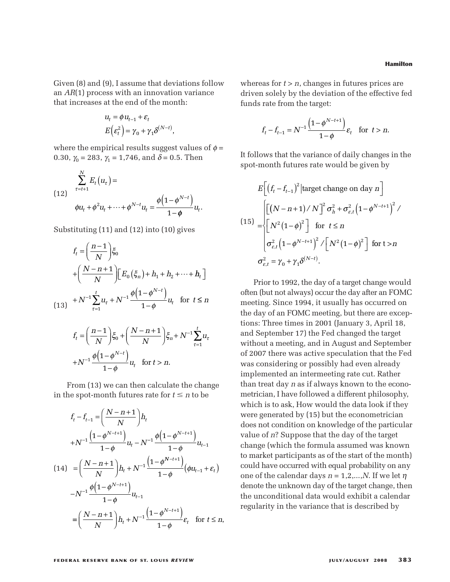Given (8) and (9), I assume that deviations follow an *AR*(1) process with an innovation variance that increases at the end of the month:

$$
u_t = \phi u_{t-1} + \varepsilon_t
$$
  

$$
E(\varepsilon_t^2) = \gamma_0 + \gamma_1 \delta^{(N-t)},
$$

where the empirical results suggest values of  $\phi$  = 0.30,  $\gamma_0 = 283$ ,  $\gamma_1 = 1,746$ , and  $\delta = 0.5$ . Then

(12) 
$$
\sum_{\tau=t+1}^{N} E_t(u_{\tau}) =
$$

$$
\phi u_t + \phi^2 u_t + \dots + \phi^{N-t} u_t = \frac{\phi(1-\phi^{N-t})}{1-\phi} u_t.
$$

Substituting (11) and (12) into (10) gives

$$
f_t = \left(\frac{n-1}{N}\right) \xi_0
$$
  
+  $\left(\frac{N-n+1}{N}\right) \left[E_0(\xi_n) + h_1 + h_2 + \dots + h_t\right]$   
(13)  $+ N^{-1} \sum_{\tau=1}^t u_\tau + N^{-1} \frac{\phi\left(1 - \phi^{N-t}\right)}{1 - \phi} u_t \text{ for } t \le n$   
 $f_t = \left(\frac{n-1}{N}\right) \xi_0 + \left(\frac{N-n+1}{N}\right) \xi_n + N^{-1} \sum_{\tau=1}^t u_\tau$ 

$$
f_t = \left(\frac{H-1}{N}\right)\xi_0 + \left(\frac{N-H+1}{N}\right)\xi_n + N^{-1}\sum_{\tau=1}^{N}u_\tau
$$

$$
+N^{-1}\frac{\phi\left(1-\phi^{N-t}\right)}{1-\phi}u_t \quad \text{for } t > n.
$$

From (13) we can then calculate the change in the spot-month futures rate for  $t \leq n$  to be

$$
f_{t} - f_{t-1} = \left(\frac{N-n+1}{N}\right)h_{t}
$$
  
+N<sup>-1</sup> $\frac{\left(1-\phi^{N-t+1}\right)}{1-\phi}u_{t} - N^{-1}\frac{\phi\left(1-\phi^{N-t+1}\right)}{1-\phi}u_{t-1}$   
(14) =  $\left(\frac{N-n+1}{N}\right)h_{t} + N^{-1}\frac{\left(1-\phi^{N-t+1}\right)}{1-\phi}\left(\phi u_{t-1} + \varepsilon_{t}\right)$   
-N<sup>-1</sup> $\frac{\phi\left(1-\phi^{N-t+1}\right)}{1-\phi}u_{t-1}$   
=  $\left(\frac{N-n+1}{N}\right)h_{t} + N^{-1}\frac{\left(1-\phi^{N-t+1}\right)}{1-\phi}\varepsilon_{t}$  for  $t \le n$ ,

whereas for  $t > n$ , changes in futures prices are driven solely by the deviation of the effective fed funds rate from the target:

$$
f_t - f_{t-1} = N^{-1} \frac{\left(1 - \phi^{N-t+1}\right)}{1 - \phi} \varepsilon_t \quad \text{for } t > n.
$$

It follows that the variance of daily changes in the spot-month futures rate would be given by

$$
E\left[\left(f_t - f_{t-1}\right)^2 | \text{target change on day } n\right]
$$
\n
$$
\begin{aligned}\n\left[\left[(N - n + 1)/N\right]^2 \sigma_h^2 + \sigma_{\varepsilon, t}^2 \left(1 - \phi^{N - t + 1}\right)^2 / \\
\left[N^2 \left(1 - \phi\right)^2\right] & \text{for } t \le n \\
\sigma_{\varepsilon, t}^2 \left(1 - \phi^{N - t + 1}\right)^2 / \left[N^2 \left(1 - \phi\right)^2\right] & \text{for } t > n \\
\sigma_{\varepsilon, t}^2 = \gamma_0 + \gamma_1 \delta^{(N - t)}.\n\end{aligned}
$$

Prior to 1992, the day of a target change would often (but not always) occur the day after an FOMC meeting. Since 1994, it usually has occurred on the day of an FOMC meeting, but there are exceptions: Three times in 2001 (January 3, April 18, and September 17) the Fed changed the target without a meeting, and in August and September of 2007 there was active speculation that the Fed was considering or possibly had even already implemented an intermeeting rate cut. Rather than treat day *n* as if always known to the econometrician, I have followed a different philosophy, which is to ask, How would the data look if they were generated by (15) but the econometrician does not condition on knowledge of the particular value of *n*? Suppose that the day of the target change (which the formula assumed was known to market participants as of the start of the month) could have occurred with equal probability on any one of the calendar days  $n = 1, 2, ..., N$ . If we let  $\eta$ denote the unknown day of the target change, then the unconditional data would exhibit a calendar regularity in the variance that is described by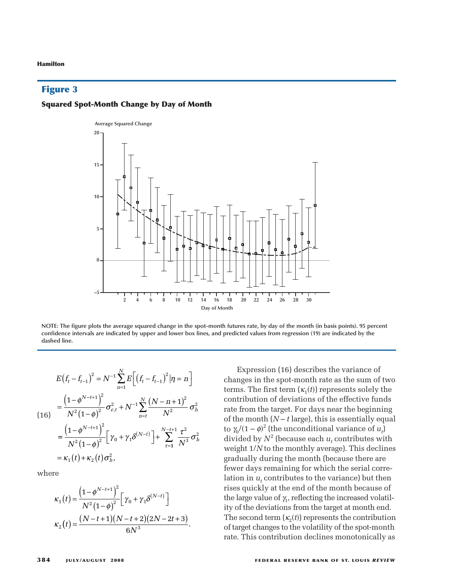# **Figure 3**

### **Squared Spot-Month Change by Day of Month**



**NOTE: The figure plots the average squared change in the spot-month futures rate, by day of the month (in basis points). 95 percent confidence intervals are indicated by upper and lower box lines, and predicted values from regression (19) are indicated by the dashed line.**

$$
E(f_t - f_{t-1})^2 = N^{-1} \sum_{n=1}^N E\Big[ (f_t - f_{t-1})^2 | \eta = n \Big]
$$
  
\n
$$
= \frac{\Big(1 - \phi^{N-t+1}\Big)^2}{N^2 (1 - \phi)^2} \sigma_{\varepsilon, t}^2 + N^{-1} \sum_{n=t}^N \frac{\big(N - n + 1\big)^2}{N^2} \sigma_h^2
$$
  
\n
$$
= \frac{\Big(1 - \phi^{N-t+1}\Big)^2}{N^2 (1 - \phi)^2} \Big[ \gamma_0 + \gamma_1 \delta^{(N-t)} \Big] + \sum_{\tau=1}^{N-t+1} \frac{\tau^2}{N^3} \sigma_h^2
$$
  
\n
$$
= \kappa_1 (t) + \kappa_2 (t) \sigma_h^2,
$$

where

$$
\kappa_1(t) = \frac{\left(1 - \phi^{N-t+1}\right)^2}{N^2 \left(1 - \phi\right)^2} \left[\gamma_0 + \gamma_1 \delta^{(N-t)}\right]
$$

$$
\kappa_2(t) = \frac{(N-t+1)(N-t+2)(2N-2t+3)}{6N^3}.
$$

Expression (16) describes the variance of changes in the spot-month rate as the sum of two terms. The first term  $(\kappa_1(t))$  represents solely the contribution of deviations of the effective funds rate from the target. For days near the beginning of the month  $(N - t \text{ large})$ , this is essentially equal to  $\gamma_0/(1-\phi)^2$  (the unconditional variance of  $u_t$ ) divided by  $N^2$  (because each  $u_t$  contributes with weight 1/*N* to the monthly average). This declines gradually during the month (because there are fewer days remaining for which the serial correlation in  $u_t$  contributes to the variance) but then rises quickly at the end of the month because of the large value of  $\gamma_1$ , reflecting the increased volatility of the deviations from the target at month end. The second term  $(\kappa_2(t))$  represents the contribution of target changes to the volatility of the spot-month rate. This contribution declines monotonically as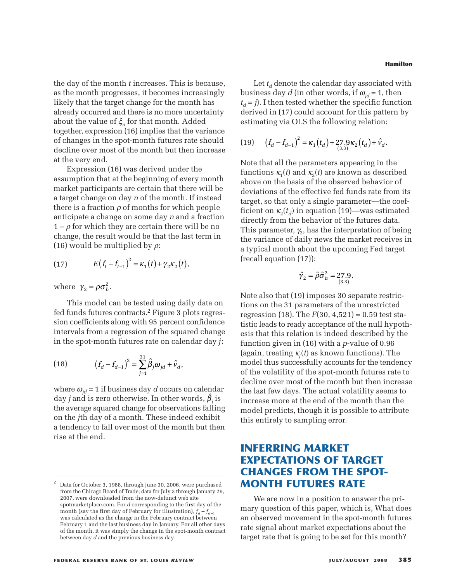the day of the month *t* increases. This is because, as the month progresses, it becomes increasingly likely that the target change for the month has already occurred and there is no more uncertainty about the value of ξ*<sup>n</sup>* for that month. Added together, expression (16) implies that the variance of changes in the spot-month futures rate should decline over most of the month but then increase at the very end.

Expression (16) was derived under the assumption that at the beginning of every month market participants are certain that there will be a target change on day *n* of the month. If instead there is a fraction  $\rho$  of months for which people anticipate a change on some day *n* and a fraction  $1 - \rho$  for which they are certain there will be no change, the result would be that the last term in (16) would be multiplied by  $\rho$ :

(17) 
$$
E(f_t - f_{t-1})^2 = \kappa_1(t) + \gamma_2 \kappa_2(t),
$$

where  $\gamma_2 = \rho \sigma_h^2$ .

This model can be tested using daily data on fed funds futures contracts.2 Figure 3 plots regression coefficients along with 95 percent confidence intervals from a regression of the squared change in the spot-month futures rate on calendar day *j*:

(18) 
$$
\left(f_d - f_{d-1}\right)^2 = \sum_{j=1}^{31} \hat{\beta}_j \omega_{jd} + \hat{v}_d,
$$

where  $\omega_{id}$  = 1 if business day *d* occurs on calendar day *j* and is zero otherwise. In other words,  $\hat{\beta}_i$  is the average squared change for observations falling on the *j*th day of a month. These indeed exhibit a tendency to fall over most of the month but then rise at the end.

**Hamilton**

Let  $t_d$  denote the calendar day associated with business day *d* (in other words, if  $\omega_{id} = 1$ , then  $t_d = j$ ). I then tested whether the specific function derived in (17) could account for this pattern by estimating via OLS the following relation:

(19) 
$$
(f_d - f_{d-1})^2 = \kappa_1(t_d) + 27.9 \kappa_2(t_d) + \hat{v}_d.
$$

Note that all the parameters appearing in the functions  $\kappa_1(t)$  and  $\kappa_2(t)$  are known as described above on the basis of the observed behavior of deviations of the effective fed funds rate from its target, so that only a single parameter—the coefficient on  $\kappa_2(t_d)$  in equation (19)—was estimated directly from the behavior of the futures data. This parameter,  $\gamma_2$ , has the interpretation of being the variance of daily news the market receives in a typical month about the upcoming Fed target (recall equation (17)):

$$
\hat{\gamma}_2 = \hat{\rho}\hat{\sigma}_h^2 = 27.9.
$$

Note also that (19) imposes 30 separate restrictions on the 31 parameters of the unrestricted regression (18). The  $F(30, 4,521) = 0.59$  test statistic leads to ready acceptance of the null hypothesis that this relation is indeed described by the function given in (16) with a *p*-value of 0.96 (again, treating  $\kappa_i(t)$  as known functions). The model thus successfully accounts for the tendency of the volatility of the spot-month futures rate to decline over most of the month but then increase the last few days. The actual volatility seems to increase more at the end of the month than the model predicts, though it is possible to attribute this entirely to sampling error.

# **INFERRING MARKET EXPECTATIONS OF TARGET CHANGES FROM THE SPOT-MONTH FUTURES RATE**

We are now in a position to answer the primary question of this paper, which is, What does an observed movement in the spot-month futures rate signal about market expectations about the target rate that is going to be set for this month?

<sup>2</sup> Data for October 3, 1988, through June 30, 2006, were purchased from the Chicago Board of Trade; data for July 3 through January 29, 2007, were downloaded from the now-defunct web site spotmarketplace.com. For *d* corresponding to the first day of the month (say the first day of February for illustration),  $f_d - f_{d-1}$ was calculated as the change in the February contract between February 1 and the last business day in January. For all other days of the month, it was simply the change in the spot-month contract between day *d* and the previous business day.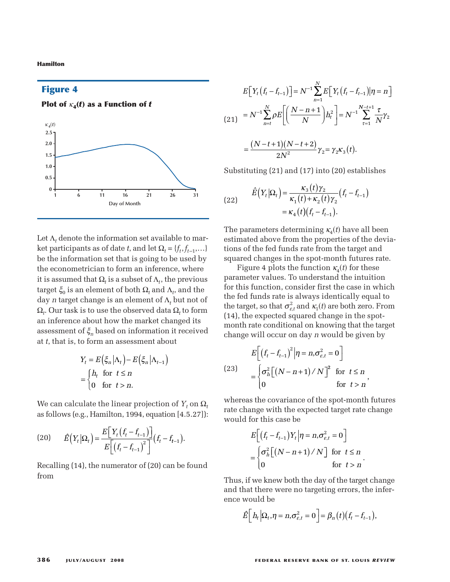## **Figure 4**

**Plot of**  $\kappa_4(t)$  as a Function of *t* 



Let  $\Lambda_t$  denote the information set available to market participants as of date *t*, and let  $\Omega_t = \{f_t, f_{t-1}, \ldots\}$ be the information set that is going to be used by the econometrician to form an inference, where it is assumed that  $\Omega_t$  is a subset of  $\Lambda_t$ , the previous target  $\xi_0$  is an element of both  $\Omega_t$  and  $\Lambda_t$ , and the day *n* target change is an element of Λ*<sup>t</sup>* but not of  $Ω<sub>t</sub>$ . Our task is to use the observed data  $Ω<sub>t</sub>$  to form an inference about how the market changed its assessment of ξ*<sup>n</sup>* based on information it received at *t*, that is, to form an assessment about

$$
Y_t = E(\xi_n | \Lambda_t) - E(\xi_n | \Lambda_{t-1})
$$
  
= 
$$
\begin{cases} h_t & \text{for } t \le n \\ 0 & \text{for } t > n. \end{cases}
$$

We can calculate the linear projection of  $Y_t$  on  $\Omega_t$ as follows (e.g., Hamilton, 1994, equation [4.5.27]):

(20) 
$$
\hat{E}\left(Y_t | \Omega_t\right) = \frac{E\left[Y_t \left(f_t - f_{t-1}\right)\right]}{E\left[\left(f_t - f_{t-1}\right)^2\right]} \left(f_t - f_{t-1}\right).
$$

Recalling (14), the numerator of (20) can be found from

$$
E[Y_t(f_t - f_{t-1})] = N^{-1} \sum_{n=1}^{N} E[Y_t(f_t - f_{t-1}) | \eta = n]
$$
  
(21) 
$$
= N^{-1} \sum_{n=t}^{N} \rho E\left[\left(\frac{N-n+1}{N}\right) h_t^2\right] = N^{-1} \sum_{\tau=1}^{N-t+1} \frac{\tau}{N} \gamma_2
$$

$$
= \frac{(N-t+1)(N-t+2)}{2N^2} \gamma_2 = \gamma_2 \kappa_3(t).
$$

Substituting (21) and (17) into (20) establishes

(22) 
$$
\hat{E}\left(Y_t|\Omega_t\right) = \frac{\kappa_3(t)\gamma_2}{\kappa_1(t) + \kappa_2(t)\gamma_2}(f_t - f_{t-1}) = \kappa_4(t)(f_t - f_{t-1}).
$$

The parameters determining  $\kappa_4(t)$  have all been estimated above from the properties of the deviations of the fed funds rate from the target and squared changes in the spot-month futures rate.

Figure 4 plots the function  $\kappa_4(t)$  for these parameter values. To understand the intuition for this function, consider first the case in which the fed funds rate is always identically equal to the target, so that  $\sigma_{\varepsilon t}^2$  and  $\kappa_1(t)$  are both zero. From (14), the expected squared change in the spotmonth rate conditional on knowing that the target change will occur on day *n* would be given by

$$
E\left[\left(f_t - f_{t-1}\right)^2 \middle| \eta = n, \sigma_{\varepsilon,t}^2 = 0\right]
$$
\n
$$
= \begin{cases} \sigma_h^2 \left[\left(N - n + 1\right) / N\right]^2 & \text{for } t \le n \\ 0 & \text{for } t > n \end{cases}
$$

whereas the covariance of the spot-month futures rate change with the expected target rate change would for this case be

$$
E\left[\left(f_t - f_{t-1}\right)Y_t \middle| \eta = n, \sigma_{\varepsilon,t}^2 = 0\right]
$$
\n
$$
= \begin{cases} \sigma_h^2 \left[\left(N - n + 1\right)/N\right] & \text{for } t \le n \\ 0 & \text{for } t > n \end{cases}.
$$

Thus, if we knew both the day of the target change and that there were no targeting errors, the inference would be

$$
\hat{E}\Big[ h_t \Big| \Omega_t, \eta = n, \sigma_{\varepsilon,t}^2 = 0 \Big] = \beta_n(t) \big( f_t - f_{t-1} \big),
$$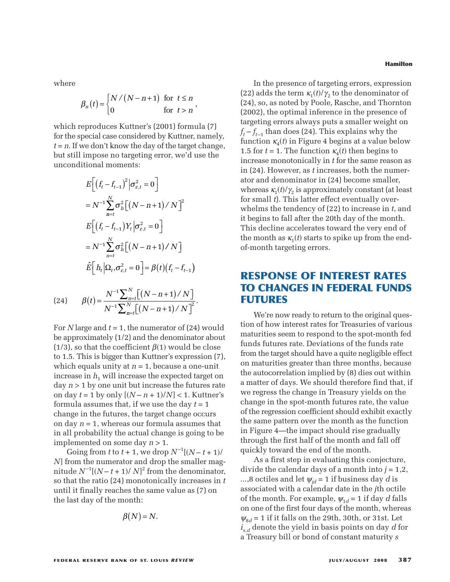where

$$
\beta_n(t) = \begin{cases} N/(N-n+1) & \text{for } t \le n \\ 0 & \text{for } t > n \end{cases}
$$

which reproduces Kuttner's (2001) formula (7) for the special case considered by Kuttner, namely,  $t = n$ . If we don't know the day of the target change, but still impose no targeting error, we'd use the unconditional moments:

$$
E\bigg[\Big(f_t - f_{t-1}\Big)^2 \Big| \sigma_{\varepsilon,t}^2 = 0\bigg]
$$
  
=  $N^{-1} \sum_{n=t}^N \sigma_h^2 \big[\Big(N - n + 1\Big)/N\big]^2$   

$$
E\bigg[\Big(f_t - f_{t-1}\Big)Y_t \Big| \sigma_{\varepsilon,t}^2 = 0\bigg]
$$
  
=  $N^{-1} \sum_{n=t}^N \sigma_h^2 \big[\Big(N - n + 1\Big)/N\big]$   
 $\hat{E}\bigg[\Big| h_t \Big| \Omega_t, \sigma_{\varepsilon,t}^2 = 0\bigg] = \beta(t)\Big(f_t - f_{t-1}\Big)$ 

(24) 
$$
\beta(t) = \frac{N^{-1} \sum_{n=t}^{N} [(N-n+1)/N]}{N^{-1} \sum_{n=t}^{N} [(N-n+1)/N]^2}.
$$

For *N* large and *t* = 1, the numerator of (24) would be approximately (1/2) and the denominator about (1/3), so that the coefficient  $\beta(1)$  would be close to 1.5. This is bigger than Kuttner's expression (7), which equals unity at *n* = 1, because a one-unit increase in  $h_1$  will increase the expected target on day *n* > 1 by one unit but increase the futures rate on day  $t = 1$  by only  $[(N - n + 1)/N] < 1$ . Kuttner's formula assumes that, if we use the day *t* = 1 change in the futures, the target change occurs on day *n* = 1, whereas our formula assumes that in all probability the actual change is going to be implemented on some day *n* > 1.

Going from *t* to  $t + 1$ , we drop  $N^{-1}[(N - t + 1)/t]$ *N*] from the numerator and drop the smaller magnitude  $N^{-1}[(N-t+1)/N]^2$  from the denominator, so that the ratio (24) monotonically increases in *t* until it finally reaches the same value as (7) on the last day of the month:

$$
\beta(N)=N.
$$

**Hamilton**

In the presence of targeting errors, expression (22) adds the term  $\kappa_1(t)/\gamma_2$  to the denominator of (24), so, as noted by Poole, Rasche, and Thornton (2002), the optimal inference in the presence of targeting errors always puts a smaller weight on  $f_t - f_{t-1}$  than does (24). This explains why the function  $\kappa_4(t)$  in Figure 4 begins at a value below 1.5 for  $t = 1$ . The function  $\kappa_4(t)$  then begins to increase monotonically in *t* for the same reason as in (24). However, as *t* increases, both the numerator and denominator in (24) become smaller, whereas  $\kappa_1(t)/\gamma_2$  is approximately constant (at least for small *t*). This latter effect eventually overwhelms the tendency of (22) to increase in *t*, and it begins to fall after the 20th day of the month. This decline accelerates toward the very end of the month as  $\kappa_1(t)$  starts to spike up from the endof-month targeting errors.

# **RESPONSE OF INTEREST RATES TO CHANGES IN FEDERAL FUNDS FUTURES**

We're now ready to return to the original question of how interest rates for Treasuries of various maturities seem to respond to the spot-month fed funds futures rate. Deviations of the funds rate from the target should have a quite negligible effect on maturities greater than three months, because the autocorrelation implied by (8) dies out within a matter of days. We should therefore find that, if we regress the change in Treasury yields on the change in the spot-month futures rate, the value of the regression coefficient should exhibit exactly the same pattern over the month as the function in Figure 4—the impact should rise gradually through the first half of the month and fall off quickly toward the end of the month.

As a first step in evaluating this conjecture, divide the calendar days of a month into *j* = 1,2, ...,8 octiles and let  $\psi_{id} = 1$  if business day *d* is associated with a calendar date in the *j*th octile of the month. For example,  $\psi_{1d} = 1$  if day *d* falls on one of the first four days of the month, whereas  $\psi_{8d}$  = 1 if it falls on the 29th, 30th, or 31st. Let *is*,*<sup>d</sup>* denote the yield in basis points on day *d* for a Treasury bill or bond of constant maturity *s*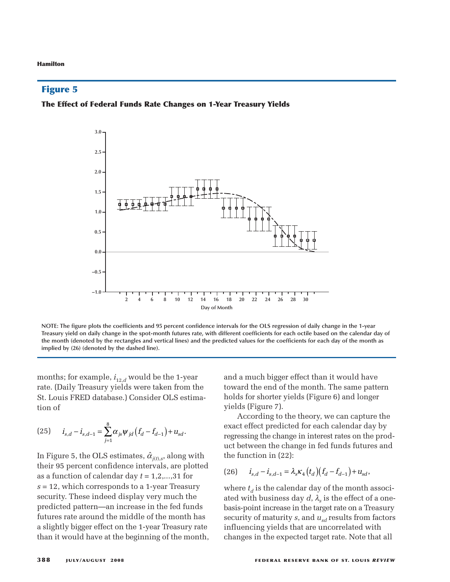### **Figure 5**

### **The Effect of Federal Funds Rate Changes on 1-Year Treasury Yields**



**NOTE: The figure plots the coefficients and 95 percent confidence intervals for the OLS regression of daily change in the 1-year Treasury yield on daily change in the spot-month futures rate, with different coefficients for each octile based on the calendar day of the month (denoted by the rectangles and vertical lines) and the predicted values for the coefficients for each day of the month as implied by (26) (denoted by the dashed line).**

months; for example,  $i_{12,d}$  would be the 1-year rate. (Daily Treasury yields were taken from the St. Louis FRED database.) Consider OLS estimation of

(25) 
$$
i_{s,d} - i_{s,d-1} = \sum_{j=1}^{8} \alpha_{js} \psi_{jd} (f_d - f_{d-1}) + u_{sd}.
$$

In Figure 5, the OLS estimates,  $\hat{\alpha}_{\scriptscriptstyle j(t),s}^{\scriptscriptstyle -}$ , along with their 95 percent confidence intervals, are plotted as a function of calendar day *t* = 1,2,...,31 for *s* = 12, which corresponds to a 1-year Treasury security. These indeed display very much the predicted pattern—an increase in the fed funds futures rate around the middle of the month has a slightly bigger effect on the 1-year Treasury rate than it would have at the beginning of the month, and a much bigger effect than it would have toward the end of the month. The same pattern holds for shorter yields (Figure 6) and longer yields (Figure 7).

According to the theory, we can capture the exact effect predicted for each calendar day by regressing the change in interest rates on the product between the change in fed funds futures and the function in (22):

(26) 
$$
i_{s,d} - i_{s,d-1} = \lambda_s \kappa_4 (t_d) (f_d - f_{d-1}) + u_{sd},
$$

where  $t_d$  is the calendar day of the month associated with business day  $d$ ,  $\lambda_c$  is the effect of a onebasis-point increase in the target rate on a Treasury security of maturity *s*, and  $u_{sd}$  results from factors influencing yields that are uncorrelated with changes in the expected target rate. Note that all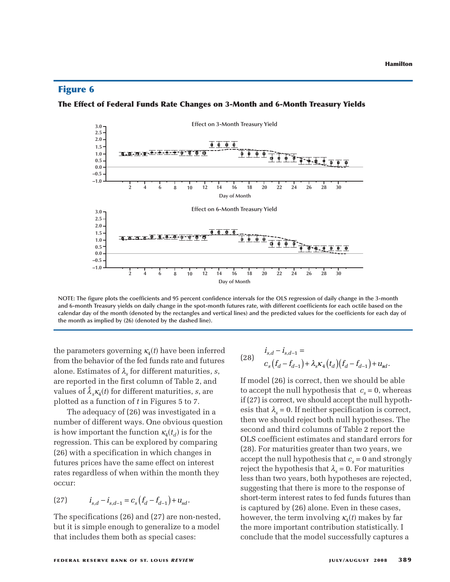## **Figure 6**

### **The Effect of Federal Funds Rate Changes on 3-Month and 6-Month Treasury Yields**



**NOTE: The figure plots the coefficients and 95 percent confidence intervals for the OLS regression of daily change in the 3-month and 6-month Treasury yields on daily change in the spot-month futures rate, with different coefficients for each octile based on the calendar day of the month (denoted by the rectangles and vertical lines) and the predicted values for the coefficients for each day of the month as implied by (26) (denoted by the dashed line).**

the parameters governing  $\kappa_4(t)$  have been inferred from the behavior of the fed funds rate and futures alone. Estimates of  $\lambda_{s}$  for different maturities, *s*, are reported in the first column of Table 2, and values of  $\hat{\lambda}_s \kappa_4(t)$  for different maturities, *s*, are plotted as a function of *t* in Figures 5 to 7.

The adequacy of (26) was investigated in a number of different ways. One obvious question is how important the function  $\kappa_4(t_d)$  is for the regression. This can be explored by comparing (26) with a specification in which changes in futures prices have the same effect on interest rates regardless of when within the month they occur:

(27) 
$$
i_{s,d} - i_{s,d-1} = c_s (f_d - f_{d-1}) + u_{sd}.
$$

The specifications (26) and (27) are non-nested, but it is simple enough to generalize to a model that includes them both as special cases:

(28) 
$$
\begin{aligned}\ni_{s,d} - i_{s,d-1} &=\\ \nc_s \left( f_d - f_{d-1} \right) + \lambda_s \kappa_4 \left( t_d \right) \left( f_d - f_{d-1} \right) + u_{sd}.\n\end{aligned}
$$

If model (26) is correct, then we should be able to accept the null hypothesis that  $c_s = 0$ , whereas if (27) is correct, we should accept the null hypothesis that  $\lambda_s = 0$ . If neither specification is correct, then we should reject both null hypotheses. The second and third columns of Table 2 report the OLS coefficient estimates and standard errors for (28). For maturities greater than two years, we accept the null hypothesis that  $c<sub>s</sub> = 0$  and strongly reject the hypothesis that  $\lambda_s = 0$ . For maturities less than two years, both hypotheses are rejected, suggesting that there is more to the response of short-term interest rates to fed funds futures than is captured by (26) alone. Even in these cases, however, the term involving  $\kappa_4(t)$  makes by far the more important contribution statistically. I conclude that the model successfully captures a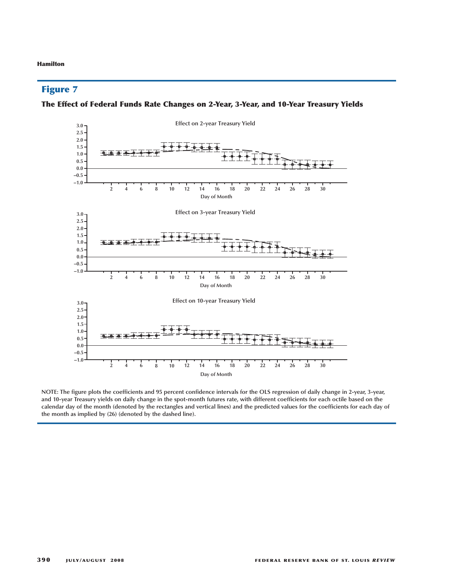# **Figure 7**





**NOTE: The figure plots the coefficients and 95 percent confidence intervals for the OLS regression of daily change in 2-year, 3-year, and 10-year Treasury yields on daily change in the spot-month futures rate, with different coefficients for each octile based on the calendar day of the month (denoted by the rectangles and vertical lines) and the predicted values for the coefficients for each day of the month as implied by (26) (denoted by the dashed line).**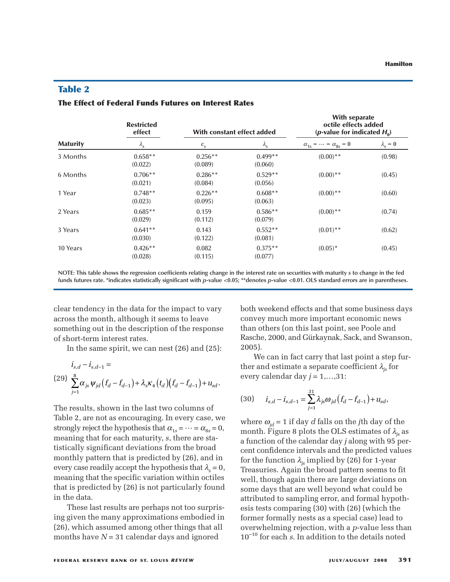# **Table 2**

### **The Effect of Federal Funds Futures on Interest Rates**

| <b>Maturity</b> | <b>Restricted</b><br>effect<br>$\lambda_{\rm s}$ | With constant effect added |                      | <b>With separate</b><br>octile effects added<br>( <i>p</i> -value for indicated $H_0$ ) |                     |
|-----------------|--------------------------------------------------|----------------------------|----------------------|-----------------------------------------------------------------------------------------|---------------------|
|                 |                                                  | $c_{s}$                    | $\lambda_{\rm s}$    | $\alpha_{1s} = \cdots = \alpha_{8s} = 0$                                                | $\lambda_{\rm s}=0$ |
| 3 Months        | $0.658**$<br>(0.022)                             | $0.256**$<br>(0.089)       | $0.499**$<br>(0.060) | $(0.00)$ **                                                                             | (0.98)              |
| 6 Months        | $0.706**$<br>(0.021)                             | $0.286**$<br>(0.084)       | $0.529**$<br>(0.056) | $(0.00)$ **                                                                             | (0.45)              |
| 1 Year          | $0.748**$<br>(0.023)                             | $0.226**$<br>(0.095)       | $0.608**$<br>(0.063) | $(0.00)$ **                                                                             | (0.60)              |
| 2 Years         | $0.685**$<br>(0.029)                             | 0.159<br>(0.112)           | $0.586**$<br>(0.079) | $(0.00)$ **                                                                             | (0.74)              |
| 3 Years         | $0.641**$<br>(0.030)                             | 0.143<br>(0.122)           | $0.552**$<br>(0.081) | $(0.01)$ **                                                                             | (0.62)              |
| 10 Years        | $0.426**$<br>(0.028)                             | 0.082<br>(0.115)           | $0.375**$<br>(0.077) | $(0.05)^*$                                                                              | (0.45)              |

**NOTE: This table shows the regression coefficients relating change in the interest rate on securities with maturity** *s* **to change in the fed funds futures rate. \*indicates statistically significant with** *p***-value <0.05; \*\*denotes** *p***-value <0.01. OLS standard errors are in parentheses.**

clear tendency in the data for the impact to vary across the month, although it seems to leave something out in the description of the response of short-term interest rates.

In the same spirit, we can nest (26) and (25):

$$
i_{s,d} - i_{s,d-1} =
$$
  
(29) 
$$
\sum_{j=1}^{8} \alpha_{js} \psi_{jd} (f_d - f_{d-1}) + \lambda_s \kappa_4 (t_d) (f_d - f_{d-1}) + u_{sd}.
$$

The results, shown in the last two columns of Table 2, are not as encouraging. In every case, we strongly reject the hypothesis that  $\alpha_{1s} = \cdots = \alpha_{8s} = 0$ , meaning that for each maturity, *s*, there are statistically significant deviations from the broad monthly pattern that is predicted by (26), and in every case readily accept the hypothesis that  $\lambda_s = 0$ , meaning that the specific variation within octiles that is predicted by (26) is not particularly found in the data.

These last results are perhaps not too surprising given the many approximations embodied in (26), which assumed among other things that all months have *N* = 31 calendar days and ignored

both weekend effects and that some business days convey much more important economic news than others (on this last point, see Poole and Rasche, 2000, and Gürkaynak, Sack, and Swanson, 2005).

We can in fact carry that last point a step further and estimate a separate coefficient  $\lambda_{is}$  for every calendar day *j* = 1,…,31:

(30) 
$$
i_{s,d} - i_{s,d-1} = \sum_{j=1}^{31} \lambda_{js} \omega_{jd} (f_d - f_{d-1}) + u_{sd},
$$

where  $\omega_{id}$  = 1 if day *d* falls on the *j*th day of the month. Figure 8 plots the OLS estimates of  $\lambda_{is}$  as a function of the calendar day *j* along with 95 percent confidence intervals and the predicted values for the function  $\lambda_{is}$  implied by (26) for 1-year Treasuries. Again the broad pattern seems to fit well, though again there are large deviations on some days that are well beyond what could be attributed to sampling error, and formal hypothesis tests comparing (30) with (26) (which the former formally nests as a special case) lead to overwhelming rejection, with a *p*-value less than 10–10 for each *s*. In addition to the details noted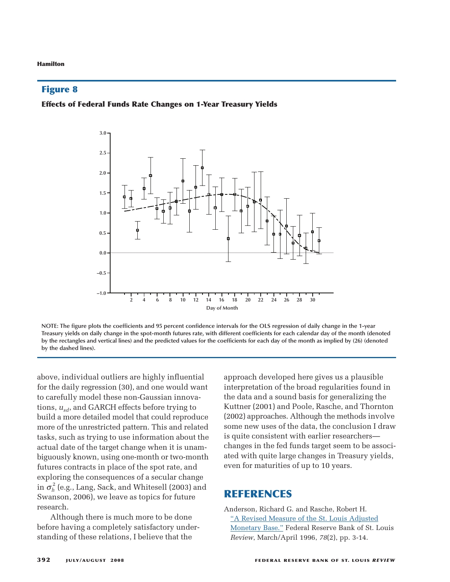# **Figure 8**

### **Effects of Federal Funds Rate Changes on 1-Year Treasury Yields**



**NOTE: The figure plots the coefficients and 95 percent confidence intervals for the OLS regression of daily change in the 1-year Treasury yields on daily change in the spot-month futures rate, with different coefficients for each calendar day of the month (denoted by the rectangles and vertical lines) and the predicted values for the coefficients for each day of the month as implied by (26) (denoted by the dashed lines).**

above, individual outliers are highly influential for the daily regression (30), and one would want to carefully model these non-Gaussian innovations,  $u_{sd}$ , and GARCH effects before trying to build a more detailed model that could reproduce more of the unrestricted pattern. This and related tasks, such as trying to use information about the actual date of the target change when it is unambiguously known, using one-month or two-month futures contracts in place of the spot rate, and exploring the consequences of a secular change in  $\sigma_h^2$  (e.g., Lang, Sack, and Whitesell (2003) and Swanson, 2006), we leave as topics for future research.

Although there is much more to be done before having a completely satisfactory understanding of these relations, I believe that the

approach developed here gives us a plausible interpretation of the broad regularities found in the data and a sound basis for generalizing the Kuttner (2001) and Poole, Rasche, and Thornton (2002) approaches. Although the methods involve some new uses of the data, the conclusion I draw is quite consistent with earlier researchers changes in the fed funds target seem to be associated with quite large changes in Treasury yields, even for maturities of up to 10 years.

# **REFERENCES**

Anderson, Richard G. and Rasche, Robert H. ["A Revised Measure of the St. Louis Adjusted](http://research.stlouisfed.org/publications/review/96/03/9603ra.pdf) [Monetary Base."](http://research.stlouisfed.org/publications/review/96/03/9603ra.pdf) Federal Reserve Bank of St. Louis *Review*, March/April 1996, *78*(2), pp. 3-14.